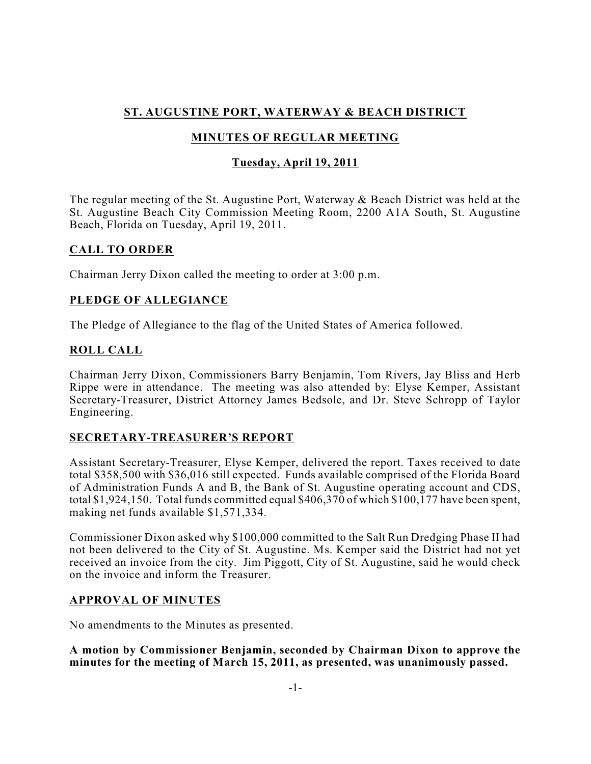# **ST. AUGUSTINE PORT, WATERWAY & BEACH DISTRICT**

# **MINUTES OF REGULAR MEETING**

### **Tuesday, April 19, 2011**

The regular meeting of the St. Augustine Port, Waterway & Beach District was held at the St. Augustine Beach City Commission Meeting Room, 2200 A1A South, St. Augustine Beach, Florida on Tuesday, April 19, 2011.

### **CALL TO ORDER**

Chairman Jerry Dixon called the meeting to order at 3:00 p.m.

### **PLEDGE OF ALLEGIANCE**

The Pledge of Allegiance to the flag of the United States of America followed.

### **ROLL CALL**

Chairman Jerry Dixon, Commissioners Barry Benjamin, Tom Rivers, Jay Bliss and Herb Rippe were in attendance. The meeting was also attended by: Elyse Kemper, Assistant Secretary-Treasurer, District Attorney James Bedsole, and Dr. Steve Schropp of Taylor Engineering.

### **SECRETARY-TREASURER'S REPORT**

Assistant Secretary-Treasurer, Elyse Kemper, delivered the report. Taxes received to date total \$358,500 with \$36,016 still expected. Funds available comprised of the Florida Board of Administration Funds A and B, the Bank of St. Augustine operating account and CDS, total \$1,924,150. Total funds committed equal \$406,370 of which \$100,177 have been spent, making net funds available \$1,571,334.

Commissioner Dixon asked why \$100,000 committed to the Salt Run Dredging Phase II had not been delivered to the City of St. Augustine. Ms. Kemper said the District had not yet received an invoice from the city. Jim Piggott, City of St. Augustine, said he would check on the invoice and inform the Treasurer.

### **APPROVAL OF MINUTES**

No amendments to the Minutes as presented.

**A motion by Commissioner Benjamin, seconded by Chairman Dixon to approve the minutes for the meeting of March 15, 2011, as presented, was unanimously passed.**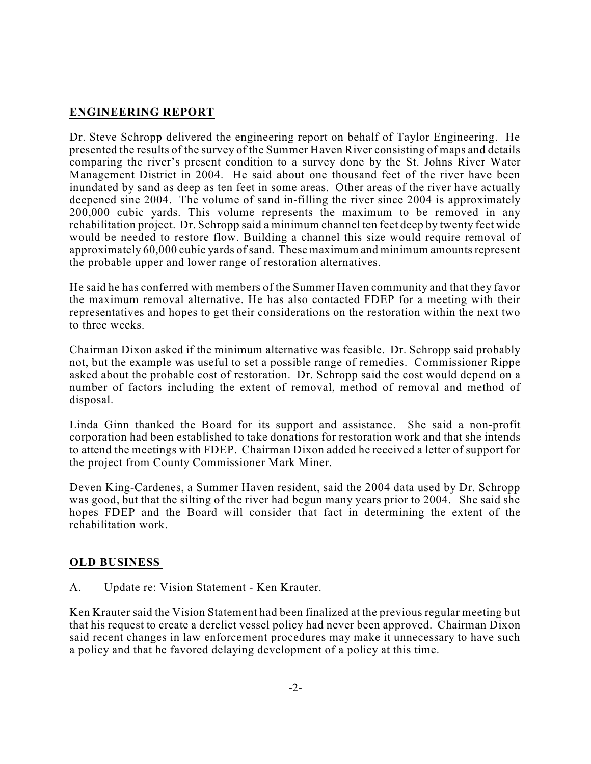# **ENGINEERING REPORT**

Dr. Steve Schropp delivered the engineering report on behalf of Taylor Engineering. He presented the results of the survey of the Summer Haven River consisting of maps and details comparing the river's present condition to a survey done by the St. Johns River Water Management District in 2004. He said about one thousand feet of the river have been inundated by sand as deep as ten feet in some areas. Other areas of the river have actually deepened sine 2004. The volume of sand in-filling the river since 2004 is approximately 200,000 cubic yards. This volume represents the maximum to be removed in any rehabilitation project. Dr. Schropp said a minimum channel ten feet deep by twenty feet wide would be needed to restore flow. Building a channel this size would require removal of approximately 60,000 cubic yards of sand. These maximum and minimum amounts represent the probable upper and lower range of restoration alternatives.

He said he has conferred with members of the Summer Haven community and that they favor the maximum removal alternative. He has also contacted FDEP for a meeting with their representatives and hopes to get their considerations on the restoration within the next two to three weeks.

Chairman Dixon asked if the minimum alternative was feasible. Dr. Schropp said probably not, but the example was useful to set a possible range of remedies. Commissioner Rippe asked about the probable cost of restoration. Dr. Schropp said the cost would depend on a number of factors including the extent of removal, method of removal and method of disposal.

Linda Ginn thanked the Board for its support and assistance. She said a non-profit corporation had been established to take donations for restoration work and that she intends to attend the meetings with FDEP. Chairman Dixon added he received a letter of support for the project from County Commissioner Mark Miner.

Deven King-Cardenes, a Summer Haven resident, said the 2004 data used by Dr. Schropp was good, but that the silting of the river had begun many years prior to 2004. She said she hopes FDEP and the Board will consider that fact in determining the extent of the rehabilitation work.

### **OLD BUSINESS**

### A. Update re: Vision Statement - Ken Krauter.

Ken Krauter said the Vision Statement had been finalized at the previous regular meeting but that his request to create a derelict vessel policy had never been approved. Chairman Dixon said recent changes in law enforcement procedures may make it unnecessary to have such a policy and that he favored delaying development of a policy at this time.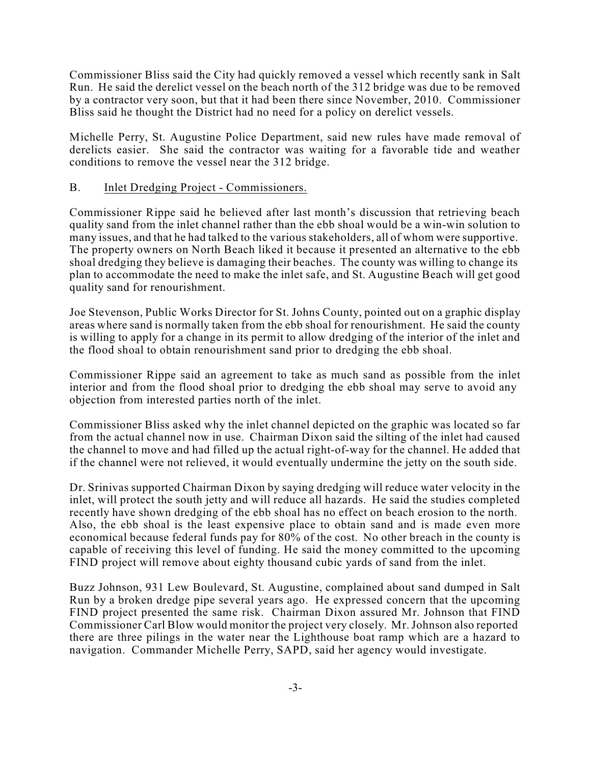Commissioner Bliss said the City had quickly removed a vessel which recently sank in Salt Run. He said the derelict vessel on the beach north of the 312 bridge was due to be removed by a contractor very soon, but that it had been there since November, 2010. Commissioner Bliss said he thought the District had no need for a policy on derelict vessels.

Michelle Perry, St. Augustine Police Department, said new rules have made removal of derelicts easier. She said the contractor was waiting for a favorable tide and weather conditions to remove the vessel near the 312 bridge.

#### B. Inlet Dredging Project - Commissioners.

Commissioner Rippe said he believed after last month's discussion that retrieving beach quality sand from the inlet channel rather than the ebb shoal would be a win-win solution to many issues, and that he had talked to the various stakeholders, all of whom were supportive. The property owners on North Beach liked it because it presented an alternative to the ebb shoal dredging they believe is damaging their beaches. The county was willing to change its plan to accommodate the need to make the inlet safe, and St. Augustine Beach will get good quality sand for renourishment.

Joe Stevenson, Public Works Director for St. Johns County, pointed out on a graphic display areas where sand is normally taken from the ebb shoal for renourishment. He said the county is willing to apply for a change in its permit to allow dredging of the interior of the inlet and the flood shoal to obtain renourishment sand prior to dredging the ebb shoal.

Commissioner Rippe said an agreement to take as much sand as possible from the inlet interior and from the flood shoal prior to dredging the ebb shoal may serve to avoid any objection from interested parties north of the inlet.

Commissioner Bliss asked why the inlet channel depicted on the graphic was located so far from the actual channel now in use. Chairman Dixon said the silting of the inlet had caused the channel to move and had filled up the actual right-of-way for the channel. He added that if the channel were not relieved, it would eventually undermine the jetty on the south side.

Dr. Srinivas supported Chairman Dixon by saying dredging will reduce water velocity in the inlet, will protect the south jetty and will reduce all hazards. He said the studies completed recently have shown dredging of the ebb shoal has no effect on beach erosion to the north. Also, the ebb shoal is the least expensive place to obtain sand and is made even more economical because federal funds pay for 80% of the cost. No other breach in the county is capable of receiving this level of funding. He said the money committed to the upcoming FIND project will remove about eighty thousand cubic yards of sand from the inlet.

Buzz Johnson, 931 Lew Boulevard, St. Augustine, complained about sand dumped in Salt Run by a broken dredge pipe several years ago. He expressed concern that the upcoming FIND project presented the same risk. Chairman Dixon assured Mr. Johnson that FIND Commissioner Carl Blow would monitor the project very closely. Mr.Johnson also reported there are three pilings in the water near the Lighthouse boat ramp which are a hazard to navigation. Commander Michelle Perry, SAPD, said her agency would investigate.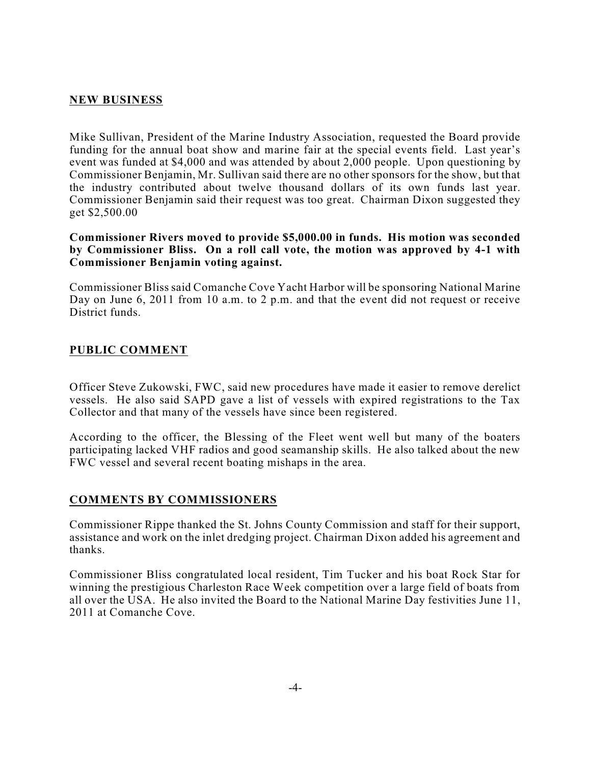#### **NEW BUSINESS**

Mike Sullivan, President of the Marine Industry Association, requested the Board provide funding for the annual boat show and marine fair at the special events field. Last year's event was funded at \$4,000 and was attended by about 2,000 people. Upon questioning by Commissioner Benjamin, Mr. Sullivan said there are no other sponsors for the show, but that the industry contributed about twelve thousand dollars of its own funds last year. Commissioner Benjamin said their request was too great. Chairman Dixon suggested they get \$2,500.00

**Commissioner Rivers moved to provide \$5,000.00 in funds. His motion was seconded by Commissioner Bliss. On a roll call vote, the motion was approved by 4-1 with Commissioner Benjamin voting against.**

Commissioner Bliss said Comanche Cove Yacht Harbor will be sponsoring National Marine Day on June 6, 2011 from 10 a.m. to 2 p.m. and that the event did not request or receive District funds.

#### **PUBLIC COMMENT**

Officer Steve Zukowski, FWC, said new procedures have made it easier to remove derelict vessels. He also said SAPD gave a list of vessels with expired registrations to the Tax Collector and that many of the vessels have since been registered.

According to the officer, the Blessing of the Fleet went well but many of the boaters participating lacked VHF radios and good seamanship skills. He also talked about the new FWC vessel and several recent boating mishaps in the area.

#### **COMMENTS BY COMMISSIONERS**

Commissioner Rippe thanked the St. Johns County Commission and staff for their support, assistance and work on the inlet dredging project. Chairman Dixon added his agreement and thanks.

Commissioner Bliss congratulated local resident, Tim Tucker and his boat Rock Star for winning the prestigious Charleston Race Week competition over a large field of boats from all over the USA. He also invited the Board to the National Marine Day festivities June 11, 2011 at Comanche Cove.